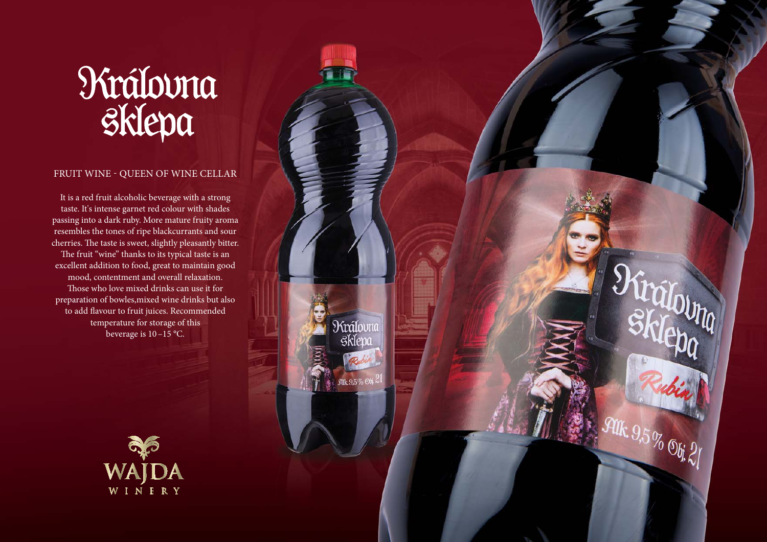## **Nrálovna**<br>Sklepa

## FRUIT WINE - QUEEN OF WINE CELLAR

It is a red fruit alcoholic beverage with a strong taste. It's intense garnet red colour with shades passing into a dark ruby. More mature fruity aroma resembles the tones of ripe blackcurrants and sour cherries. The taste is sweet, slightly pleasantly bitter. The fruit "wine" thanks to its typical taste is an excellent addition to food, great to maintain good mood, contentment and overall relaxation. Those who love mixed drinks can use it for preparation of bowles,mixed wine drinks but also to add flavour to fruit juices. Recommended temperature for storage of this beverage is 10 –15 °C.